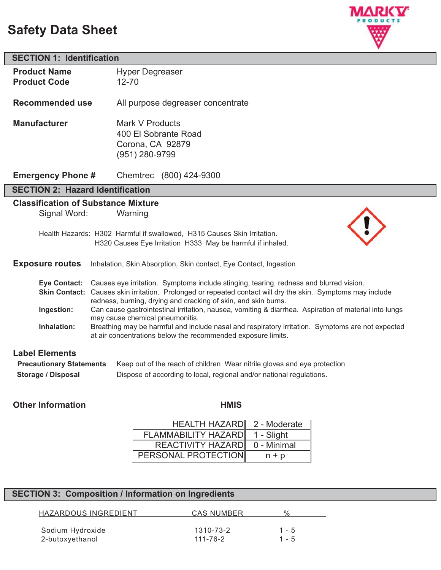# **Safety Data Sheet**

**SECTION 1: Identification**

**Product Name** Hyper Degreaser



# **Product Code** 12-70 **Recommended use** All purpose degreaser concentrate **Manufacturer** Mark V Products 400 El Sobrante Road Corona, CA 92879 (951) 280-9799 **Emergency Phone #** Chemtrec (800) 424-9300 **SECTION 2: Hazard Identification Classification of Substance Mixture** Signal Word: Warning Health Hazards: H302 Harmful if swallowed, H315 Causes Skin Irritation. H320 Causes Eye Irritation H333 May be harmful if inhaled. **Exposure routes** Inhalation, Skin Absorption, Skin contact, Eye Contact, Ingestion **Eye Contact:** Causes eye irritation. Symptoms include stinging, tearing, redness and blurred vision. **Skin Contact:** Causes skin irritation. Prolonged or repeated contact will dry the skin. Symptoms may include redness, burning, drying and cracking of skin, and skin burns. **Ingestion:** Can cause gastrointestinal irritation, nausea, vomiting & diarrhea. Aspiration of material into lungs may cause chemical pneumonitis. **Inhalation:** Breathing may be harmful and include nasal and respiratory irritation. Symptoms are not expected at air concentrations below the recommended exposure limits.

# **Label Elements**

| <b>Precautionary Statements</b> | Keep out of the reach of children Wear nitrile gloves and eye protection |
|---------------------------------|--------------------------------------------------------------------------|
| Storage / Disposal              | Dispose of according to local, regional and/or national regulations.     |

## **Other Information Community Community Community Community Community Community Community Community Community Community Community Community Community Community Community Community Community Community Community Community Com**

| <b>HEALTH HAZARDI</b>      | 2 - Moderate |
|----------------------------|--------------|
| <b>FLAMMABILITY HAZARD</b> | 1 - Slight   |
| REACTIVITY HAZARD          | 0 - Minimal  |
| PERSONAL PROTECTION        | $n + p$      |

#### **SECTION 3: Composition / Information on Ingredients**

| HAZARDOUS INGREDIENT | CAS NUMBER | $\frac{0}{6}$ |
|----------------------|------------|---------------|
|                      |            |               |
| Sodium Hydroxide     | 1310-73-2  | $1 - 5$       |
| 2-butoxyethanol      | 111-76-2   | $1 - 5$       |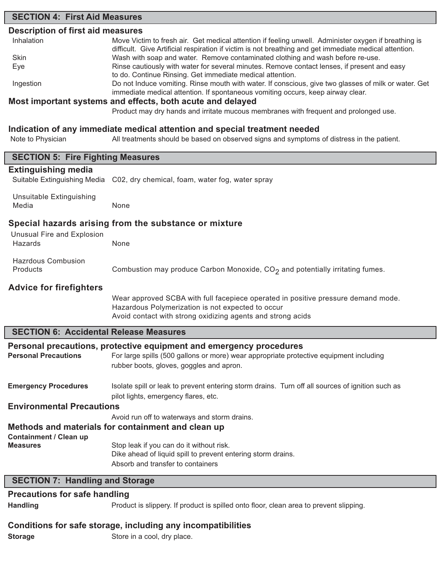# **SECTION 4: First Aid Measures Description of first aid measures** Inhalation Move Victim to fresh air. Get medical attention if feeling unwell. Administer oxygen if breathing is difficult. Give Artificial respiration if victim is not breathing and get immediate medical attention. Skin **Example 3 and Wash with soap and water.** Remove contaminated clothing and wash before re-use. Eye **Execution** Rinse cautiously with water for several minutes. Remove contact lenses, if present and easy to do. Continue Rinsing. Get immediate medical attention. Ingestion Do not Induce vomiting. Rinse mouth with water. If conscious, give two glasses of milk or water. Get immediate medical attention. If spontaneous vomiting occurs, keep airway clear. **Most important systems and effects, both acute and delayed** Product may dry hands and irritate mucous membranes with frequent and prolonged use. **Indication of any immediate medical attention and special treatment needed** Note to Physician All treatments should be based on observed signs and symptoms of distress in the patient. **SECTION 5: Fire Fighting Measures Extinguishing media** Suitable Extinguishing Media C02, dry chemical, foam, water fog, water spray Unsuitable Extinguishing Media None **Special hazards arising from the substance or mixture** Unusual Fire and Explosion Hazards None Hazrdous Combusion Products **Combustion may produce Carbon Monoxide, CO<sub>2</sub> and potentially irritating fumes. Advice for firefighters** Wear approved SCBA with full facepiece operated in positive pressure demand mode. Hazardous Polymerization is not expected to occur Avoid contact with strong oxidizing agents and strong acids **SECTION 6: Accidental Release Measures Personal precautions, protective equipment and emergency procedures** Personal Precautions For large spills (500 gallons or more) wear appropriate protective equipment including rubber boots, gloves, goggles and apron. **Emergency Procedures** Isolate spill or leak to prevent entering storm drains. Turn off all sources of ignition such as pilot lights, emergency flares, etc. **Environmental Precautions** Avoid run off to waterways and storm drains. **Methods and materials for containment and clean up Containment / Clean up Measures** Stop leak if you can do it without risk. Dike ahead of liquid spill to prevent entering storm drains. Absorb and transfer to containers **SECTION 7: Handling and Storage**

### **Precautions for safe handling**

**Handling** Product is slippery. If product is spilled onto floor, clean area to prevent slipping.

# **Conditions for safe storage, including any incompatibilities**

**Storage** Store in a cool, dry place.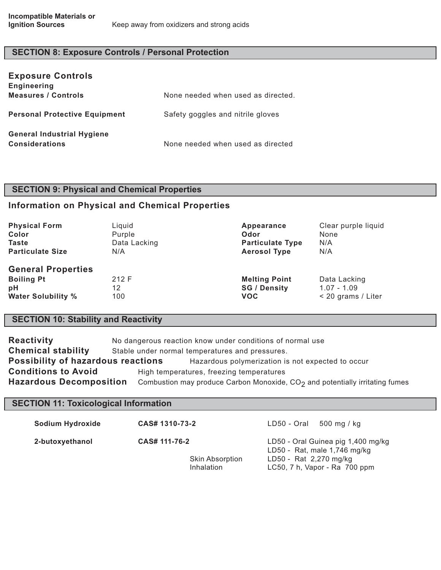# **SECTION 8: Exposure Controls / Personal Protection**

| <b>Exposure Controls</b><br><b>Engineering</b>             |                                    |
|------------------------------------------------------------|------------------------------------|
| <b>Measures / Controls</b>                                 | None needed when used as directed. |
| <b>Personal Protective Equipment</b>                       | Safety goggles and nitrile gloves  |
| <b>General Industrial Hygiene</b><br><b>Considerations</b> | None needed when used as directed  |

# **SECTION 9: Physical and Chemical Properties**

## **Information on Physical and Chemical Properties**

| <b>Physical Form</b>                                                              | Liquid             | Appearance                                                | Clear purple liquid                                 |
|-----------------------------------------------------------------------------------|--------------------|-----------------------------------------------------------|-----------------------------------------------------|
| Color                                                                             | Purple             | Odor                                                      | None                                                |
| <b>Taste</b>                                                                      | Data Lacking       | <b>Particulate Type</b>                                   | N/A                                                 |
| <b>Particulate Size</b>                                                           | N/A                | <b>Aerosol Type</b>                                       | N/A                                                 |
| <b>General Properties</b><br><b>Boiling Pt</b><br>рH<br><b>Water Solubility %</b> | 212 F<br>12<br>100 | <b>Melting Point</b><br><b>SG / Density</b><br><b>VOC</b> | Data Lacking<br>$1.07 - 1.09$<br>< 20 grams / Liter |

# **SECTION 10: Stability and Reactivity**

| <b>Reactivity</b>                  | No dangerous reaction know under conditions of normal use                      |  |
|------------------------------------|--------------------------------------------------------------------------------|--|
| <b>Chemical stability</b>          | Stable under normal temperatures and pressures.                                |  |
| Possibility of hazardous reactions | Hazardous polymerization is not expected to occur                              |  |
| <b>Conditions to Avoid</b>         | High temperatures, freezing temperatures                                       |  |
| <b>Hazardous Decomposition</b>     | Combustion may produce Carbon Monoxide, $CO2$ and potentially irritating fumes |  |

# **SECTION 11: Toxicological Information**

| Sodium Hydroxide | CAS# 1310-73-2                                        | $LD50 - Oral 500 mg/kg$                                                                                                       |
|------------------|-------------------------------------------------------|-------------------------------------------------------------------------------------------------------------------------------|
| 2-butoxyethanol  | CAS# 111-76-2<br><b>Skin Absorption</b><br>Inhalation | LD50 - Oral Guinea pig 1,400 mg/kg<br>LD50 - Rat, male 1,746 mg/kg<br>LD50 - Rat 2,270 mg/kg<br>LC50, 7 h, Vapor - Ra 700 ppm |